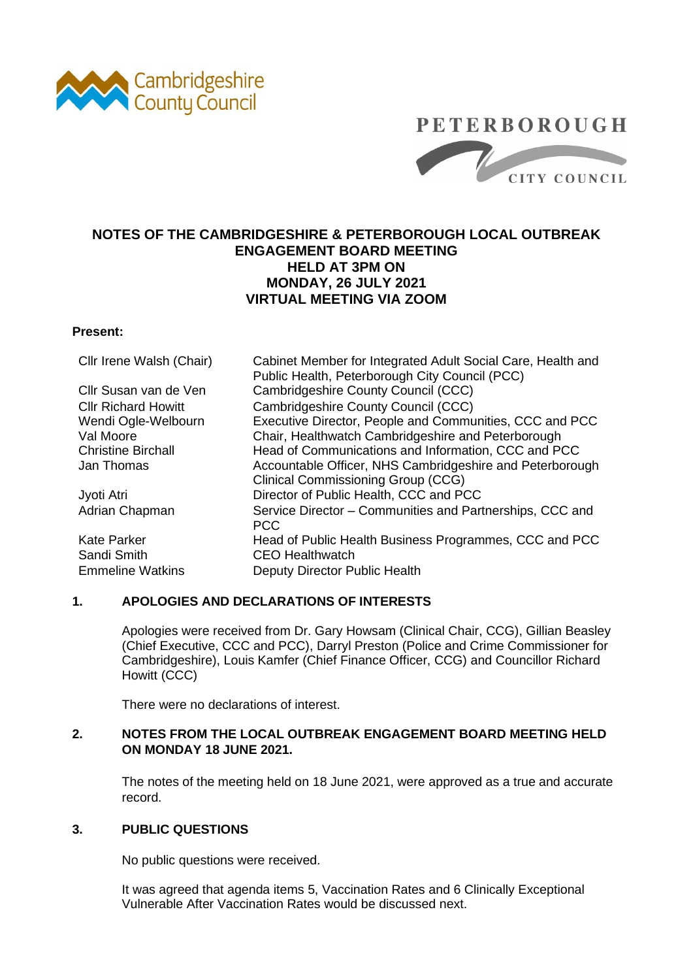

### **PETERBOROUGH**



### **NOTES OF THE CAMBRIDGESHIRE & PETERBOROUGH LOCAL OUTBREAK ENGAGEMENT BOARD MEETING HELD AT 3PM ON MONDAY, 26 JULY 2021 VIRTUAL MEETING VIA ZOOM**

### **Present:**

| Cllr Irene Walsh (Chair)   | Cabinet Member for Integrated Adult Social Care, Health and |
|----------------------------|-------------------------------------------------------------|
|                            | Public Health, Peterborough City Council (PCC)              |
| Cllr Susan van de Ven      | Cambridgeshire County Council (CCC)                         |
| <b>CIIr Richard Howitt</b> | Cambridgeshire County Council (CCC)                         |
| Wendi Ogle-Welbourn        | Executive Director, People and Communities, CCC and PCC     |
| Val Moore                  | Chair, Healthwatch Cambridgeshire and Peterborough          |
| <b>Christine Birchall</b>  | Head of Communications and Information, CCC and PCC         |
| Jan Thomas                 | Accountable Officer, NHS Cambridgeshire and Peterborough    |
|                            | <b>Clinical Commissioning Group (CCG)</b>                   |
| Jyoti Atri                 | Director of Public Health, CCC and PCC                      |
| Adrian Chapman             | Service Director - Communities and Partnerships, CCC and    |
|                            | <b>PCC</b>                                                  |
| <b>Kate Parker</b>         | Head of Public Health Business Programmes, CCC and PCC      |
| Sandi Smith                | <b>CEO Healthwatch</b>                                      |
| <b>Emmeline Watkins</b>    | Deputy Director Public Health                               |
|                            |                                                             |

### **1. APOLOGIES AND DECLARATIONS OF INTERESTS**

Apologies were received from Dr. Gary Howsam (Clinical Chair, CCG), Gillian Beasley (Chief Executive, CCC and PCC), Darryl Preston (Police and Crime Commissioner for Cambridgeshire), Louis Kamfer (Chief Finance Officer, CCG) and Councillor Richard Howitt (CCC)

There were no declarations of interest.

### **2. NOTES FROM THE LOCAL OUTBREAK ENGAGEMENT BOARD MEETING HELD ON MONDAY 18 JUNE 2021.**

The notes of the meeting held on 18 June 2021, were approved as a true and accurate record.

### **3. PUBLIC QUESTIONS**

No public questions were received.

It was agreed that agenda items 5, Vaccination Rates and 6 Clinically Exceptional Vulnerable After Vaccination Rates would be discussed next.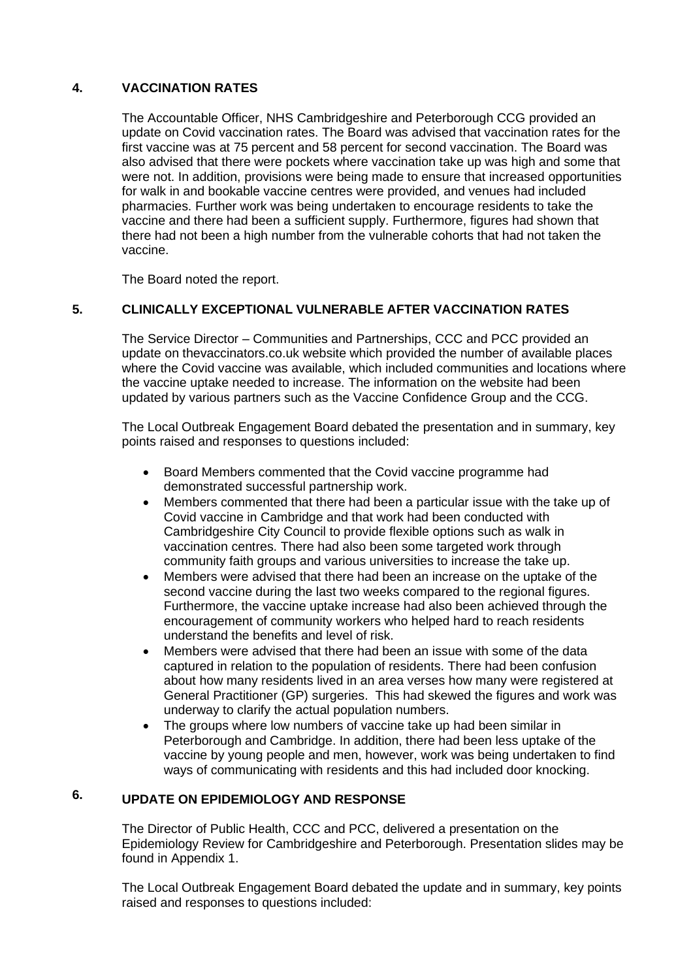#### **4. VACCINATION RATES**

The Accountable Officer, NHS Cambridgeshire and Peterborough CCG provided an update on Covid vaccination rates. The Board was advised that vaccination rates for the first vaccine was at 75 percent and 58 percent for second vaccination. The Board was also advised that there were pockets where vaccination take up was high and some that were not. In addition, provisions were being made to ensure that increased opportunities for walk in and bookable vaccine centres were provided, and venues had included pharmacies. Further work was being undertaken to encourage residents to take the vaccine and there had been a sufficient supply. Furthermore, figures had shown that there had not been a high number from the vulnerable cohorts that had not taken the vaccine.

The Board noted the report.

#### **5. CLINICALLY EXCEPTIONAL VULNERABLE AFTER VACCINATION RATES**

The Service Director – Communities and Partnerships, CCC and PCC provided an update on thevaccinators.co.uk website which provided the number of available places where the Covid vaccine was available, which included communities and locations where the vaccine uptake needed to increase. The information on the website had been updated by various partners such as the Vaccine Confidence Group and the CCG.

The Local Outbreak Engagement Board debated the presentation and in summary, key points raised and responses to questions included:

- Board Members commented that the Covid vaccine programme had demonstrated successful partnership work.
- Members commented that there had been a particular issue with the take up of Covid vaccine in Cambridge and that work had been conducted with Cambridgeshire City Council to provide flexible options such as walk in vaccination centres. There had also been some targeted work through community faith groups and various universities to increase the take up.
- Members were advised that there had been an increase on the uptake of the second vaccine during the last two weeks compared to the regional figures. Furthermore, the vaccine uptake increase had also been achieved through the encouragement of community workers who helped hard to reach residents understand the benefits and level of risk.
- Members were advised that there had been an issue with some of the data captured in relation to the population of residents. There had been confusion about how many residents lived in an area verses how many were registered at General Practitioner (GP) surgeries. This had skewed the figures and work was underway to clarify the actual population numbers.
- The groups where low numbers of vaccine take up had been similar in Peterborough and Cambridge. In addition, there had been less uptake of the vaccine by young people and men, however, work was being undertaken to find ways of communicating with residents and this had included door knocking.

#### **6. UPDATE ON EPIDEMIOLOGY AND RESPONSE**

The Director of Public Health, CCC and PCC, delivered a presentation on the Epidemiology Review for Cambridgeshire and Peterborough. Presentation slides may be found in Appendix 1.

The Local Outbreak Engagement Board debated the update and in summary, key points raised and responses to questions included: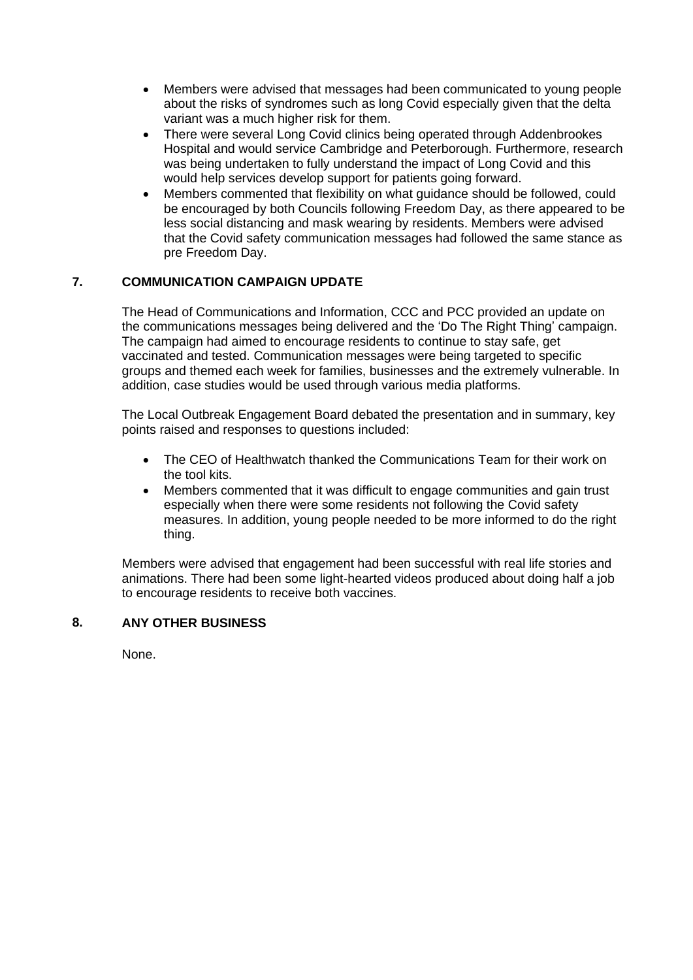- Members were advised that messages had been communicated to young people about the risks of syndromes such as long Covid especially given that the delta variant was a much higher risk for them.
- There were several Long Covid clinics being operated through Addenbrookes Hospital and would service Cambridge and Peterborough. Furthermore, research was being undertaken to fully understand the impact of Long Covid and this would help services develop support for patients going forward.
- Members commented that flexibility on what guidance should be followed, could be encouraged by both Councils following Freedom Day, as there appeared to be less social distancing and mask wearing by residents. Members were advised that the Covid safety communication messages had followed the same stance as pre Freedom Day.

### **7. COMMUNICATION CAMPAIGN UPDATE**

The Head of Communications and Information, CCC and PCC provided an update on the communications messages being delivered and the 'Do The Right Thing' campaign. The campaign had aimed to encourage residents to continue to stay safe, get vaccinated and tested. Communication messages were being targeted to specific groups and themed each week for families, businesses and the extremely vulnerable. In addition, case studies would be used through various media platforms.

The Local Outbreak Engagement Board debated the presentation and in summary, key points raised and responses to questions included:

- The CEO of Healthwatch thanked the Communications Team for their work on the tool kits.
- Members commented that it was difficult to engage communities and gain trust especially when there were some residents not following the Covid safety measures. In addition, young people needed to be more informed to do the right thing.

Members were advised that engagement had been successful with real life stories and animations. There had been some light-hearted videos produced about doing half a job to encourage residents to receive both vaccines.

### **8. ANY OTHER BUSINESS**

None.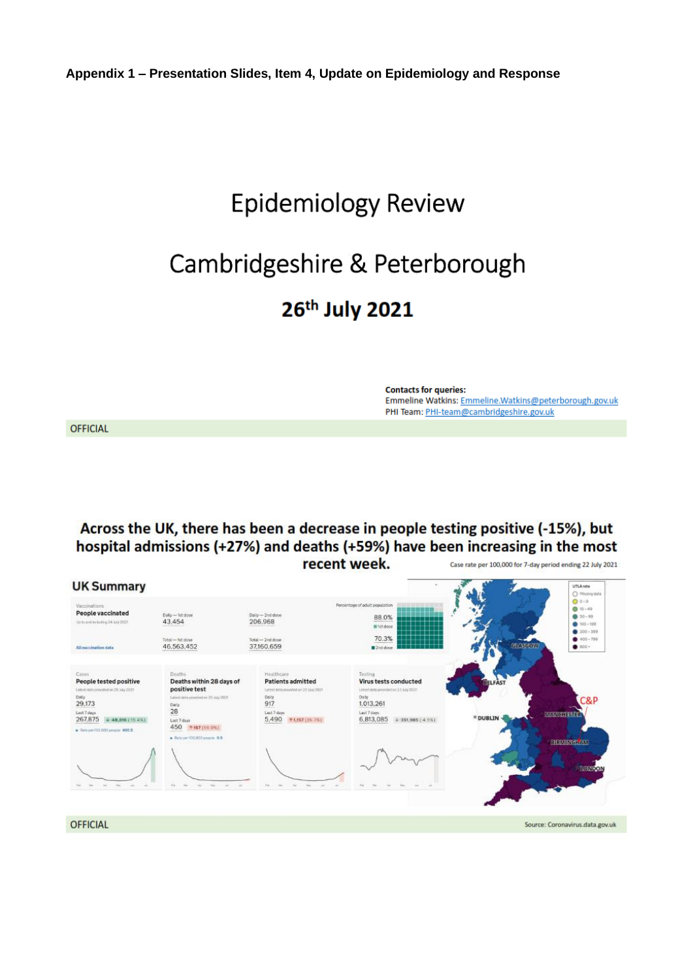## **Epidemiology Review**

# Cambridgeshire & Peterborough

## 26th July 2021

**Contacts for queries:** Emmeline Watkins: Emmeline.Watkins@peterborough.gov.uk PHI Team: PHI-team@cambridgeshire.gov.uk

**OFFICIAL** 

Across the UK, there has been a decrease in people testing positive (-15%), but hospital admissions (+27%) and deaths (+59%) have been increasing in the most recent week. Case rate per 100,000 for 7-day period ending 22 July 2021

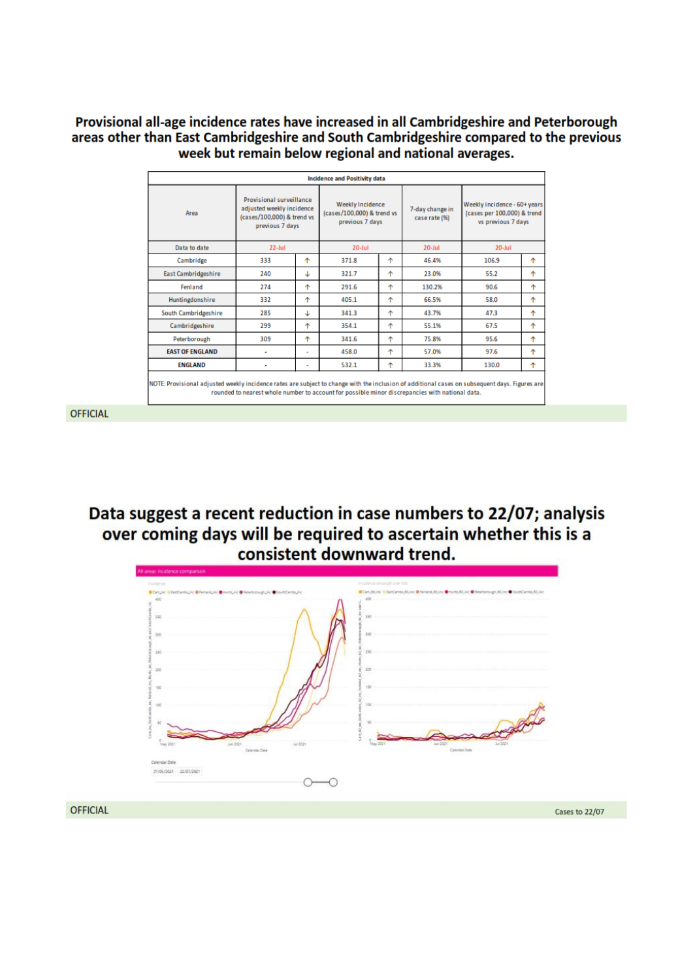### Provisional all-age incidence rates have increased in all Cambridgeshire and Peterborough areas other than East Cambridgeshire and South Cambridgeshire compared to the previous week but remain below regional and national averages.

| <b>Incidence and Positivity data</b>                                                                                                                                                                                                              |                                                                                                               |   |                                                                   |   |                                  |                                                                                   |   |  |  |
|---------------------------------------------------------------------------------------------------------------------------------------------------------------------------------------------------------------------------------------------------|---------------------------------------------------------------------------------------------------------------|---|-------------------------------------------------------------------|---|----------------------------------|-----------------------------------------------------------------------------------|---|--|--|
| Area                                                                                                                                                                                                                                              | <b>Provisional surveillance</b><br>adjusted weekly incidence<br>(cases/100,000) & trend vs<br>previous 7 days |   | Weekly Incidence<br>(cases/100,000) & trend vs<br>previous 7 days |   | 7-day change in<br>case rate (%) | Weekly incidence - 60+ years<br>(cases per 100,000) & trend<br>vs previous 7 days |   |  |  |
| Data to date                                                                                                                                                                                                                                      | $22$ -Jul                                                                                                     |   | $20$ -Jul                                                         |   | $20 -$ Jul                       | $20 -$ Jul                                                                        |   |  |  |
| Cambridge                                                                                                                                                                                                                                         | 333                                                                                                           | ٠ | 371.8                                                             | ٠ | 46.4%                            | 106.9                                                                             | 个 |  |  |
| East Cambridgeshire                                                                                                                                                                                                                               | 240                                                                                                           | ↓ | 321.7                                                             | ٠ | 23.0%                            | 55.2                                                                              | ተ |  |  |
| Fenland                                                                                                                                                                                                                                           | 274                                                                                                           | 个 | 291.6                                                             | ٠ | 130.2%                           | 90.6                                                                              | ተ |  |  |
| Huntingdonshire                                                                                                                                                                                                                                   | 332                                                                                                           | 个 | 405.1                                                             | ቶ | 66.5%                            | 58.0                                                                              | ቶ |  |  |
| South Cambridgeshire                                                                                                                                                                                                                              | 285                                                                                                           | ↓ | 341.3                                                             | ቶ | 43.7%                            | 47.3                                                                              | ቶ |  |  |
| Cambridgeshire                                                                                                                                                                                                                                    | 299                                                                                                           | ተ | 354.1                                                             | ٠ | 55.1%                            | 67.5                                                                              | 个 |  |  |
| Peterborough                                                                                                                                                                                                                                      | 309                                                                                                           | ተ | 341.6                                                             | ቶ | 75.8%                            | 95.6                                                                              | ተ |  |  |
| <b>EAST OF ENGLAND</b>                                                                                                                                                                                                                            | ٠                                                                                                             | ۰ | 458.0                                                             | ቶ | 57.0%                            | 97.6                                                                              | ተ |  |  |
| <b>ENGLAND</b>                                                                                                                                                                                                                                    | ٠                                                                                                             | ۰ | 532.1                                                             | ተ | 33.3%                            | 130.0                                                                             | ተ |  |  |
| NOTE: Provisional adjusted weekly incidence rates are subject to change with the inclusion of additional cases on subsequent days. Figures are<br>rounded to nearest whole number to account for possible minor discrepancies with national data. |                                                                                                               |   |                                                                   |   |                                  |                                                                                   |   |  |  |

**OFFICIAL** 

Data suggest a recent reduction in case numbers to 22/07; analysis over coming days will be required to ascertain whether this is a consistent downward trend.

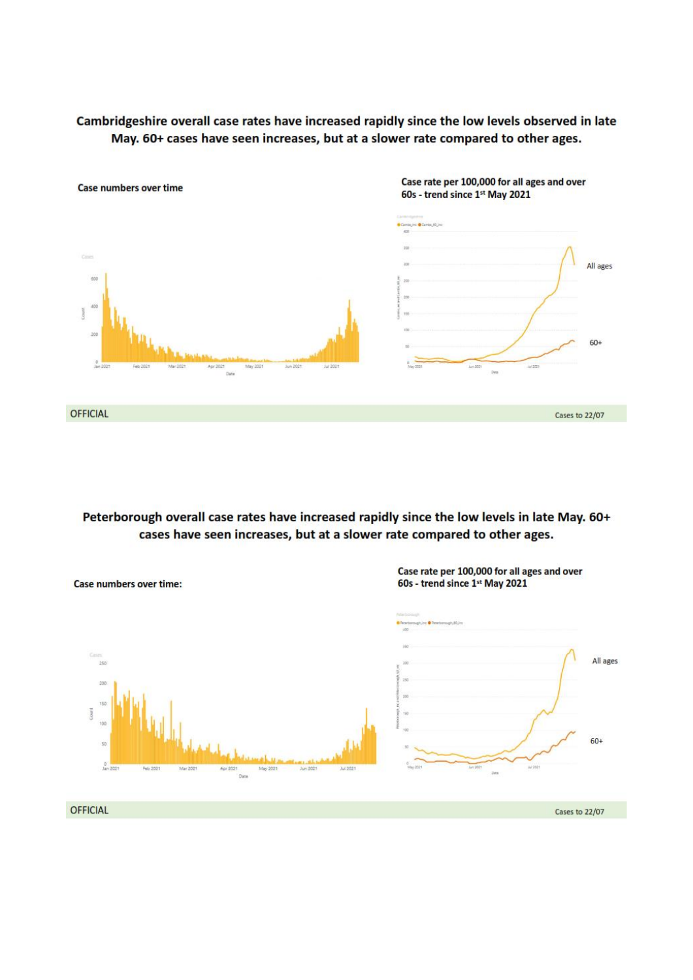### Cambridgeshire overall case rates have increased rapidly since the low levels observed in late May. 60+ cases have seen increases, but at a slower rate compared to other ages.



Peterborough overall case rates have increased rapidly since the low levels in late May. 60+ cases have seen increases, but at a slower rate compared to other ages.

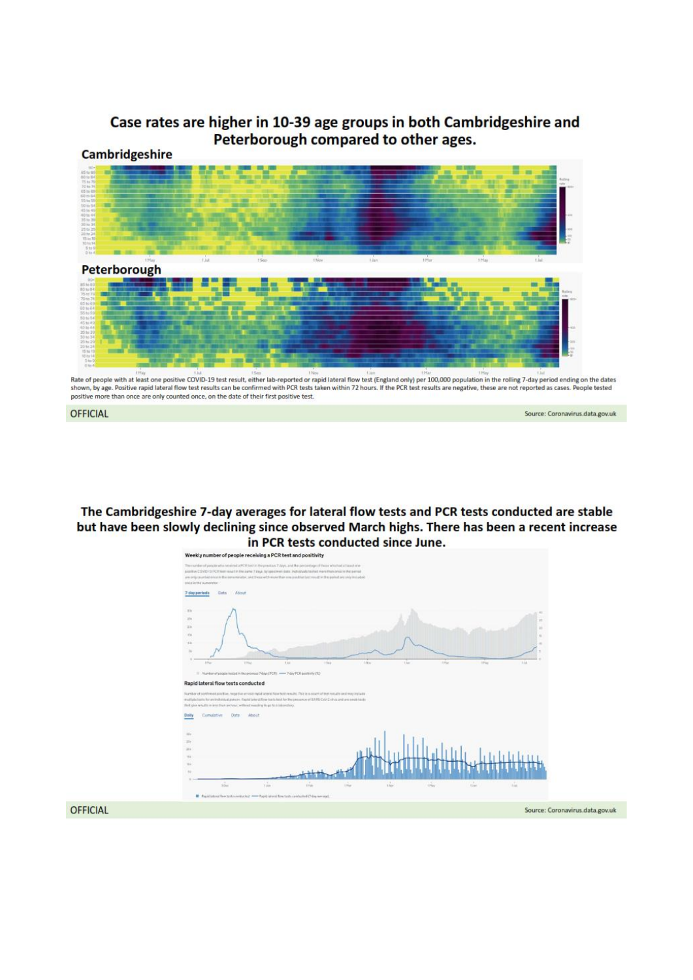### Case rates are higher in 10-39 age groups in both Cambridgeshire and Peterborough compared to other ages. **Cambridgeshire**



Rate of people with at least one positive COVID-19 test result, either lab-reported or rapid lateral flow test (England only) per 100,000 population in the rolling 7-day period ending on the dates shown, by age. Positive rapid lateral flow test results can be confirmed with PCR tests taken within 72 hours. If the PCR test results are negative, these are not reported as cases. People tested<br>positive more than once ar

Source: Coronavirus.data.gov.uk



The Cambridgeshire 7-day averages for lateral flow tests and PCR tests conducted are stable but have been slowly declining since observed March highs. There has been a recent increase in PCR tests conducted since June.

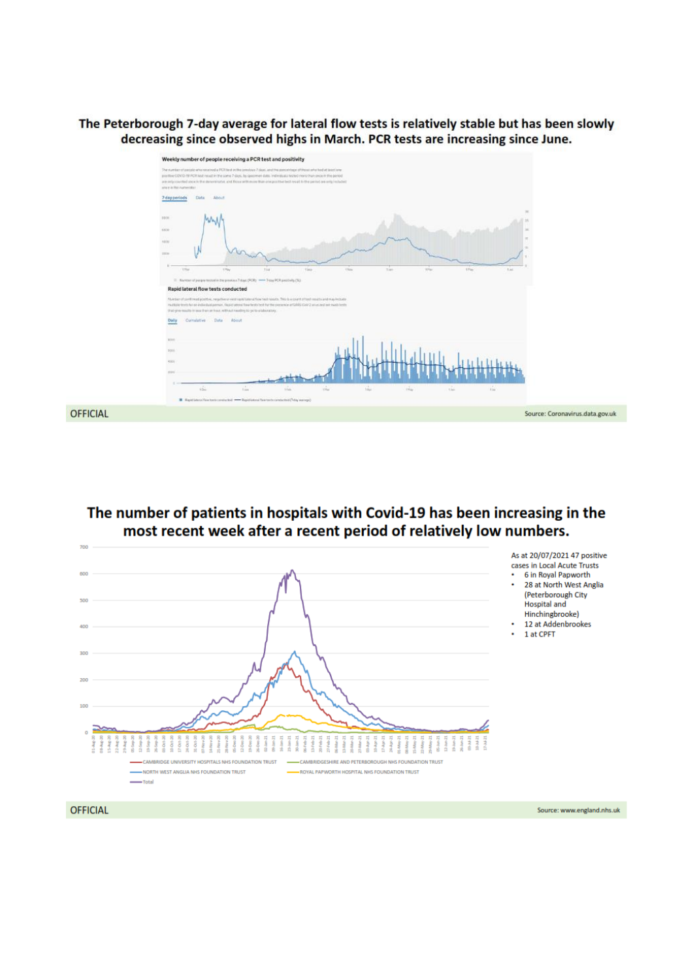The Peterborough 7-day average for lateral flow tests is relatively stable but has been slowly decreasing since observed highs in March. PCR tests are increasing since June.



### The number of patients in hospitals with Covid-19 has been increasing in the most recent week after a recent period of relatively low numbers.



Source: www.england.nhs.uk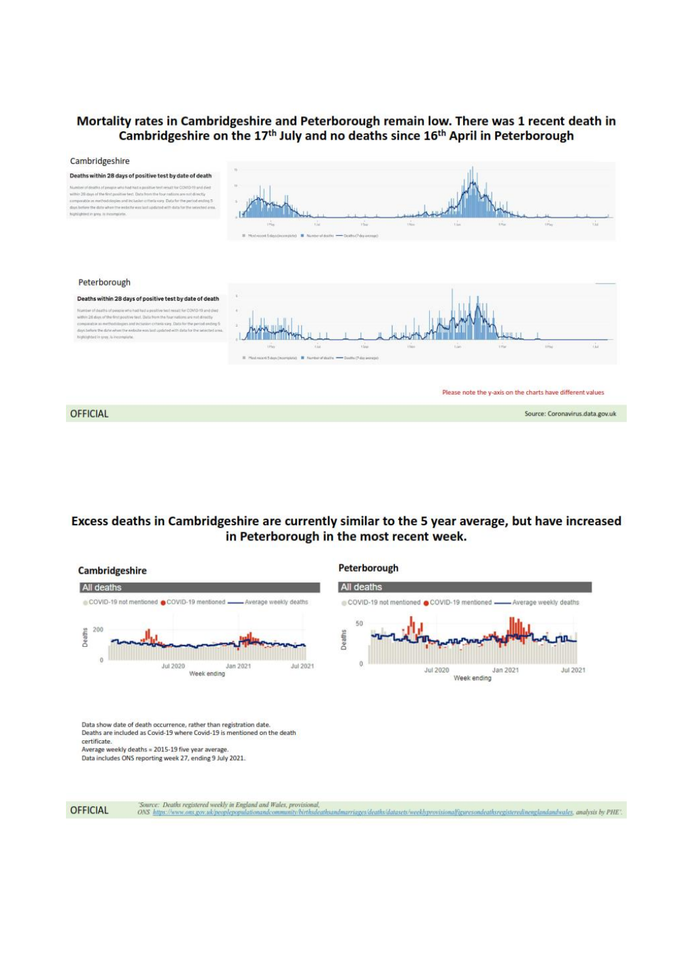### Mortality rates in Cambridgeshire and Peterborough remain low. There was 1 recent death in Cambridgeshire on the 17<sup>th</sup> July and no deaths since 16<sup>th</sup> April in Peterborough



### Excess deaths in Cambridgeshire are currently similar to the 5 year average, but have increased in Peterborough in the most recent week.



OFFICIAL

'Source: Deaths registered weekly in England and Wales, provisional,<br>ONS https://www.ons.gov.uk/peoplepopulationandcommunity/birthsdeathsandmarriages/deaths/datasets/weeklyprovisionalfiguresondeathsregisteredinenglandandwa